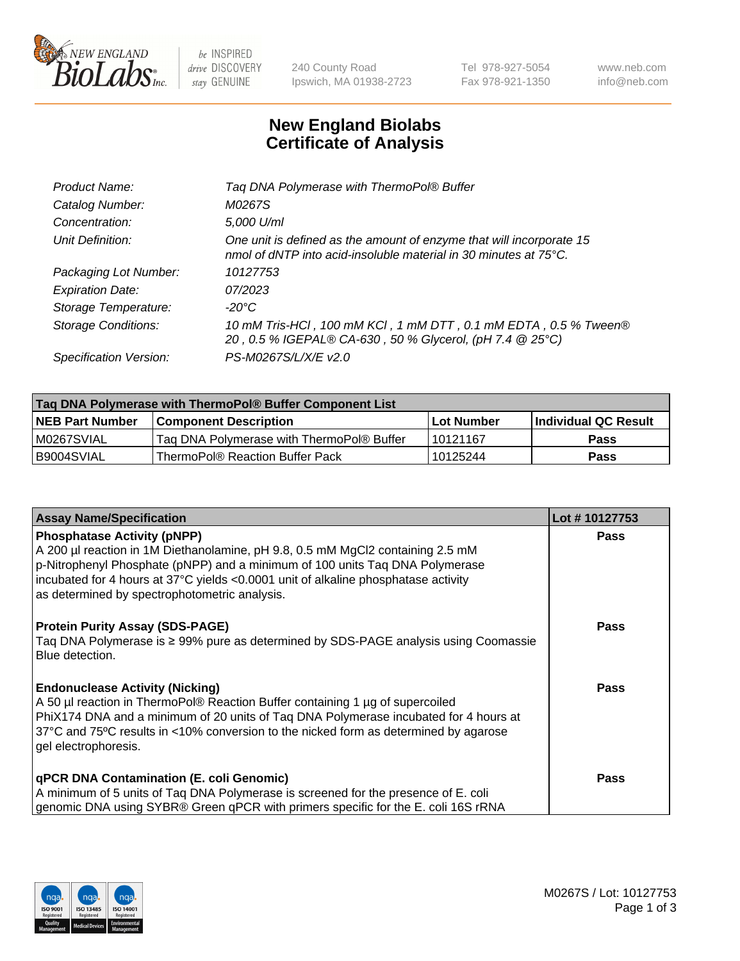

 $be$  INSPIRED drive DISCOVERY stay GENUINE

240 County Road Ipswich, MA 01938-2723 Tel 978-927-5054 Fax 978-921-1350 www.neb.com info@neb.com

## **New England Biolabs Certificate of Analysis**

| Product Name:              | Tag DNA Polymerase with ThermoPol® Buffer                                                                                                |
|----------------------------|------------------------------------------------------------------------------------------------------------------------------------------|
| Catalog Number:            | M0267S                                                                                                                                   |
| Concentration:             | 5,000 U/ml                                                                                                                               |
| Unit Definition:           | One unit is defined as the amount of enzyme that will incorporate 15<br>nmol of dNTP into acid-insoluble material in 30 minutes at 75°C. |
| Packaging Lot Number:      | 10127753                                                                                                                                 |
| <b>Expiration Date:</b>    | 07/2023                                                                                                                                  |
| Storage Temperature:       | $-20^{\circ}$ C                                                                                                                          |
| <b>Storage Conditions:</b> | 10 mM Tris-HCl, 100 mM KCl, 1 mM DTT, 0.1 mM EDTA, 0.5 % Tween®<br>20, 0.5 % IGEPAL® CA-630, 50 % Glycerol, (pH 7.4 @ 25°C)              |
| Specification Version:     | PS-M0267S/L/X/E v2.0                                                                                                                     |

| Taq DNA Polymerase with ThermoPol® Buffer Component List |                                           |                   |                      |  |
|----------------------------------------------------------|-------------------------------------------|-------------------|----------------------|--|
| <b>NEB Part Number</b>                                   | Component Description_                    | <b>Lot Number</b> | Individual QC Result |  |
| M0267SVIAL                                               | Tag DNA Polymerase with ThermoPol® Buffer | l 10121167        | Pass                 |  |
| B9004SVIAL                                               | ThermoPol® Reaction Buffer Pack           | 10125244          | Pass                 |  |

| <b>Assay Name/Specification</b>                                                                                                                                                                                                                                                                                                                     | Lot #10127753 |
|-----------------------------------------------------------------------------------------------------------------------------------------------------------------------------------------------------------------------------------------------------------------------------------------------------------------------------------------------------|---------------|
| <b>Phosphatase Activity (pNPP)</b><br>A 200 µl reaction in 1M Diethanolamine, pH 9.8, 0.5 mM MgCl2 containing 2.5 mM<br>$\vert$ p-Nitrophenyl Phosphate (pNPP) and a minimum of 100 units Taq DNA Polymerase<br>incubated for 4 hours at 37°C yields <0.0001 unit of alkaline phosphatase activity<br>as determined by spectrophotometric analysis. | <b>Pass</b>   |
| <b>Protein Purity Assay (SDS-PAGE)</b><br>Taq DNA Polymerase is ≥ 99% pure as determined by SDS-PAGE analysis using Coomassie<br>l Blue detection.                                                                                                                                                                                                  | <b>Pass</b>   |
| <b>Endonuclease Activity (Nicking)</b><br>A 50 µl reaction in ThermoPol® Reaction Buffer containing 1 µg of supercoiled<br>PhiX174 DNA and a minimum of 20 units of Tag DNA Polymerase incubated for 4 hours at<br>37°C and 75°C results in <10% conversion to the nicked form as determined by agarose<br>gel electrophoresis.                     | <b>Pass</b>   |
| <b>qPCR DNA Contamination (E. coli Genomic)</b><br>A minimum of 5 units of Taq DNA Polymerase is screened for the presence of E. coli<br>genomic DNA using SYBR® Green qPCR with primers specific for the E. coli 16S rRNA                                                                                                                          | <b>Pass</b>   |

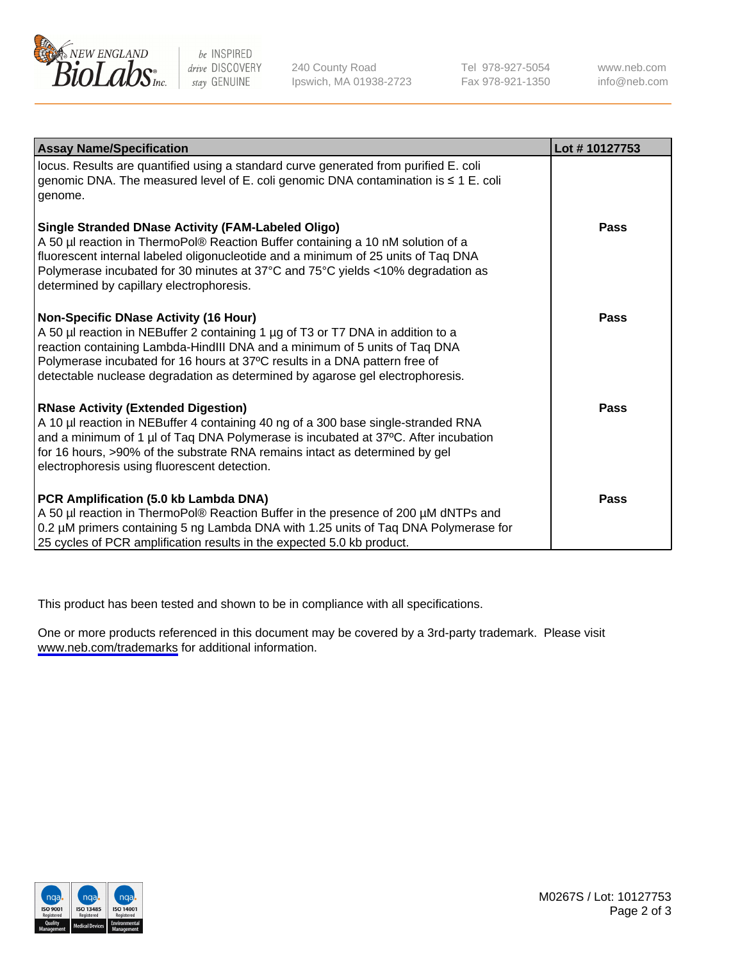

be INSPIRED drive DISCOVERY stay GENUINE

240 County Road Ipswich, MA 01938-2723 Tel 978-927-5054 Fax 978-921-1350

www.neb.com info@neb.com

| <b>Assay Name/Specification</b>                                                                                                                                                                                                                                                                                                                                              | Lot #10127753 |
|------------------------------------------------------------------------------------------------------------------------------------------------------------------------------------------------------------------------------------------------------------------------------------------------------------------------------------------------------------------------------|---------------|
| locus. Results are quantified using a standard curve generated from purified E. coli<br>genomic DNA. The measured level of E. coli genomic DNA contamination is ≤ 1 E. coli<br>genome.                                                                                                                                                                                       |               |
| <b>Single Stranded DNase Activity (FAM-Labeled Oligo)</b><br>A 50 µl reaction in ThermoPol® Reaction Buffer containing a 10 nM solution of a<br>fluorescent internal labeled oligonucleotide and a minimum of 25 units of Taq DNA<br>Polymerase incubated for 30 minutes at 37°C and 75°C yields <10% degradation as<br>determined by capillary electrophoresis.             | <b>Pass</b>   |
| <b>Non-Specific DNase Activity (16 Hour)</b><br>A 50 µl reaction in NEBuffer 2 containing 1 µg of T3 or T7 DNA in addition to a<br>reaction containing Lambda-HindIII DNA and a minimum of 5 units of Taq DNA<br>Polymerase incubated for 16 hours at 37°C results in a DNA pattern free of<br>detectable nuclease degradation as determined by agarose gel electrophoresis. | Pass          |
| <b>RNase Activity (Extended Digestion)</b><br>A 10 µl reaction in NEBuffer 4 containing 40 ng of a 300 base single-stranded RNA<br>and a minimum of 1 µl of Taq DNA Polymerase is incubated at 37°C. After incubation<br>for 16 hours, >90% of the substrate RNA remains intact as determined by gel<br>electrophoresis using fluorescent detection.                         | Pass          |
| PCR Amplification (5.0 kb Lambda DNA)<br>A 50 µl reaction in ThermoPol® Reaction Buffer in the presence of 200 µM dNTPs and<br>0.2 µM primers containing 5 ng Lambda DNA with 1.25 units of Taq DNA Polymerase for<br>25 cycles of PCR amplification results in the expected 5.0 kb product.                                                                                 | Pass          |

This product has been tested and shown to be in compliance with all specifications.

One or more products referenced in this document may be covered by a 3rd-party trademark. Please visit <www.neb.com/trademarks>for additional information.